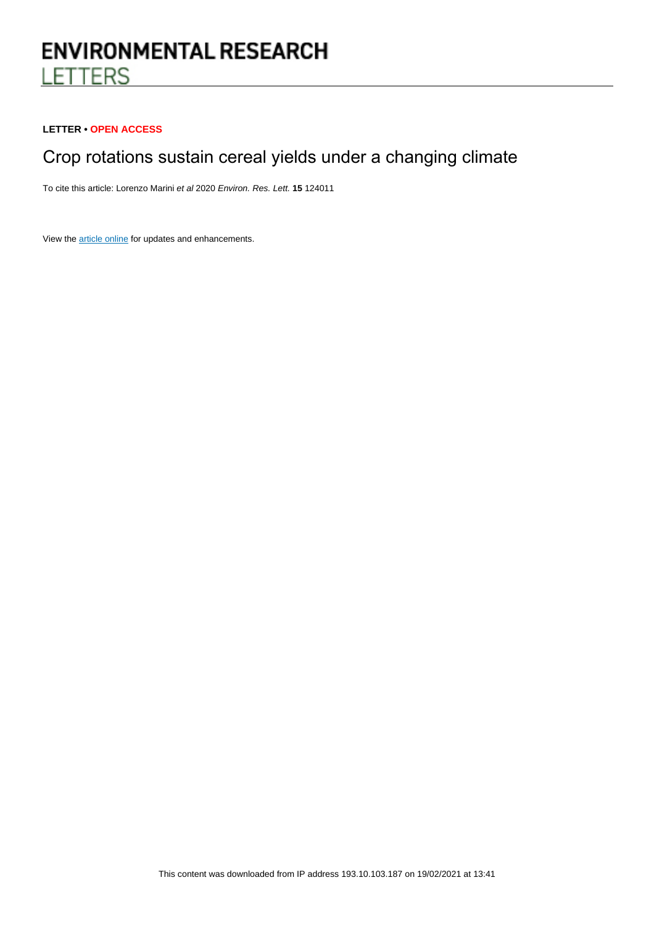# **ENVIRONMENTAL RESEARCH LETTERS**

## **LETTER • OPEN ACCESS**

## Crop rotations sustain cereal yields under a changing climate

To cite this article: Lorenzo Marini et al 2020 Environ. Res. Lett. **15** 124011

View the [article online](https://doi.org/10.1088/1748-9326/abc651) for updates and enhancements.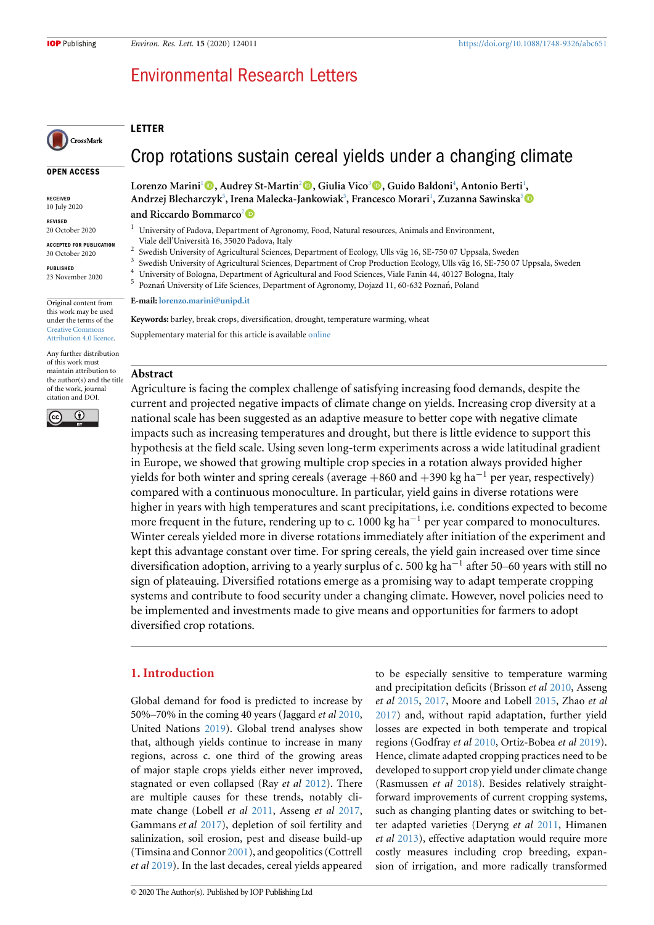## Environmental Research Letters

## CrossMark

**OPEN ACCESS**

**RECEIVED** 10 July 2020

**REVISED**

20 October 2020

**ACCEPTED FOR PUBLICATION** 30 October 2020

**PUBLISHED** 23 November 2020

Original content from this work may be used under the terms of the [Creative Commons](https://creativecommons.org/licenses/by/4.0/) [Attribution 4.0 licence](https://creativecommons.org/licenses/by/4.0/)

Any further distribution of this work must maintain attribution to the author(s) and the title of the work, journal citation and DOI.



Crop rotations sustain cereal yields under a changing climate

**Lorenzo Marini**[1](#page-1-0)**, Audrey St-Martin**[2](#page-1-1)**, Giulia Vico**[3](#page-1-2)**, Guido Baldoni**[4](#page-1-3) **, Antonio Berti**[1](#page-1-0) **, Andrzej Blecharczyk**[5](#page-1-4) **, Irena Malecka-Jankowiak**[5](#page-1-4) **, Francesco Morari**[1](#page-1-0) **, Zuzanna Sawinska**[5](#page-1-4)

#### **and Riccardo Bommarco**[2](#page-1-1)

- <span id="page-1-0"></span><sup>1</sup> University of Padova, Department of Agronomy, Food, Natural resources, Animals and Environment, Viale dell'Universit`a 16, 35020 Padova, Italy  $\overline{2}$
- <span id="page-1-1"></span>Swedish University of Agricultural Sciences, Department of Ecology, Ulls väg 16, SE-750 07 Uppsala, Sweden
- 3 Swedish University of Agricultural Sciences, Department of Crop Production Ecology, Ulls väg 16, SE-750 07 Uppsala, Sweden
- <span id="page-1-2"></span><sup>4</sup> University of Bologna, Department of Agricultural and Food Sciences, Viale Fanin 44, 40127 Bologna, Italy
	- Poznań University of Life Sciences, Department of Agronomy, Dojazd 11, 60-632 Poznań, Poland

#### **E-mail: [lorenzo.marini@unipd.it](mailto:lorenzo.marini@unipd.it)**

**Keywords:** barley, break crops, diversification, drought, temperature warming, wheat Supplementary material for this article is available [online](http://doi.org.10.1088/1748-9326/abc651)

## **Abstract**

<span id="page-1-4"></span><span id="page-1-3"></span>5

**LETTER**

Agriculture is facing the complex challenge of satisfying increasing food demands, despite the current and projected negative impacts of climate change on yields. Increasing crop diversity at a national scale has been suggested as an adaptive measure to better cope with negative climate impacts such as increasing temperatures and drought, but there is little evidence to support this hypothesis at the field scale. Using seven long-term experiments across a wide latitudinal gradient in Europe, we showed that growing multiple crop species in a rotation always provided higher yields for both winter and spring cereals (average +860 and +390 kg ha*−*<sup>1</sup> per year, respectively) compared with a continuous monoculture. In particular, yield gains in diverse rotations were higher in years with high temperatures and scant precipitations, i.e. conditions expected to become more frequent in the future, rendering up to c. 1000 kg ha*−*<sup>1</sup> per year compared to monocultures. Winter cereals yielded more in diverse rotations immediately after initiation of the experiment and kept this advantage constant over time. For spring cereals, the yield gain increased over time since diversification adoption, arriving to a yearly surplus of c. 500 kg ha*−*<sup>1</sup> after 50–60 years with still no sign of plateauing. Diversified rotations emerge as a promising way to adapt temperate cropping systems and contribute to food security under a changing climate. However, novel policies need to be implemented and investments made to give means and opportunities for farmers to adopt diversified crop rotations.

## **1. Introduction**

Global demand for food is predicted to increase by 50%–70% in the coming 40 years (Jaggard *et al* [2010,](#page-8-0) United Nations [2019\)](#page-9-0). Global trend analyses show that, although yields continue to increase in many regions, across c. one third of the growing areas of major staple crops yields either never improved, stagnated or even collapsed (Ray *et al* [2012](#page-9-1)). There are multiple causes for these trends, notably climate change (Lobell *et al* [2011](#page-9-2), Asseng *et al* [2017,](#page-8-1) Gammans *et al* [2017\)](#page-8-2), depletion of soil fertility and salinization, soil erosion, pest and disease build-up (Timsina and Connor [2001](#page-9-3)), and geopolitics (Cottrell *et al* [2019](#page-8-3)). In the last decades, cereal yields appeared and precipitation deficits (Brisson *et al* [2010,](#page-8-4) Asseng *et al* [2015](#page-8-5), [2017,](#page-8-1) Moore and Lobell [2015](#page-9-4), Zhao *et al* [2017](#page-9-5)) and, without rapid adaptation, further yield losses are expected in both temperate and tropical regions (Godfray *et al* [2010](#page-8-6), Ortiz-Bobea *et al* [2019\)](#page-9-6). Hence, climate adapted cropping practices need to be developed to support crop yield under climate change (Rasmussen *et al* [2018](#page-9-7)). Besides relatively straightforward improvements of current cropping systems, such as changing planting dates or switching to better adapted varieties (Deryng *et al* [2011](#page-8-7), Himanen *et al* [2013](#page-8-8)), effective adaptation would require more costly measures including crop breeding, expansion of irrigation, and more radically transformed

to be especially sensitive to temperature warming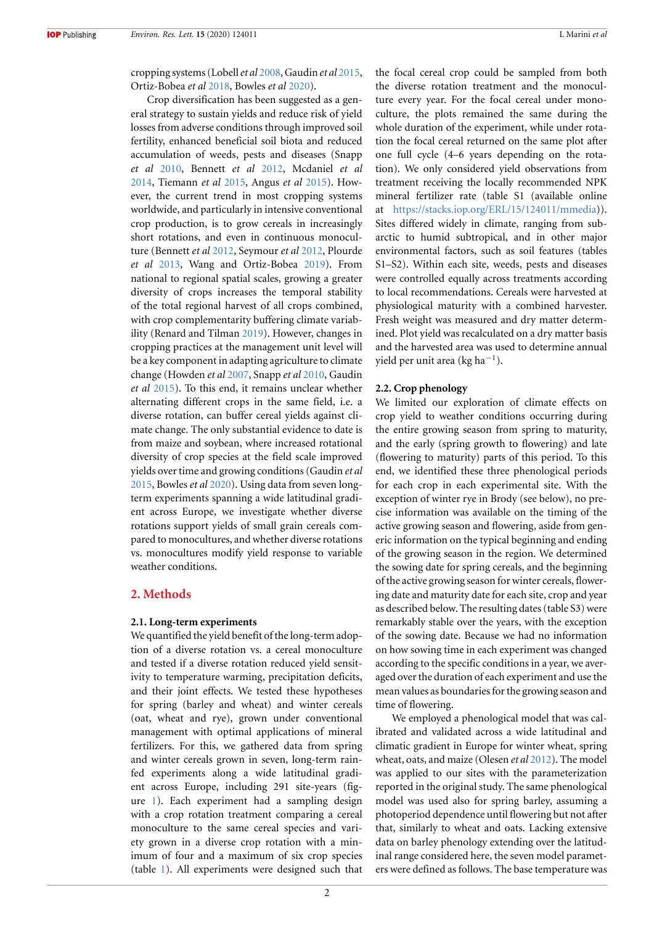cropping systems (Lobell*et al* [2008](#page-9-8), Gaudin *et al* [2015,](#page-8-9) Ortiz-Bobea *et al* [2018](#page-9-9), Bowles *et al* [2020](#page-8-10)).

Crop diversification has been suggested as a general strategy to sustain yields and reduce risk of yield losses from adverse conditions through improved soil fertility, enhanced beneficial soil biota and reduced accumulation of weeds, pests and diseases (Snapp *et al* [2010](#page-9-10), Bennett *et al* [2012](#page-8-11), Mcdaniel *et al* [2014](#page-9-11), Tiemann *et al* [2015](#page-9-12), Angus *et al* [2015\)](#page-8-12). However, the current trend in most cropping systems worldwide, and particularly in intensive conventional crop production, is to grow cereals in increasingly short rotations, and even in continuous monoculture (Bennett *et al* [2012,](#page-8-11) Seymour *et al* [2012,](#page-9-13) Plourde *et al* [2013,](#page-9-14) Wang and Ortiz-Bobea [2019](#page-9-15)). From national to regional spatial scales, growing a greater diversity of crops increases the temporal stability of the total regional harvest of all crops combined, with crop complementarity buffering climate variability (Renard and Tilman [2019\)](#page-9-16). However, changes in cropping practices at the management unit level will be a key component in adapting agriculture to climate change (Howden *et al* [2007](#page-8-13), Snapp *et al* [2010](#page-9-10), Gaudin *et al* [2015\)](#page-8-9). To this end, it remains unclear whether alternating different crops in the same field, i.e. a diverse rotation, can buffer cereal yields against climate change. The only substantial evidence to date is from maize and soybean, where increased rotational diversity of crop species at the field scale improved yields over time and growing conditions (Gaudin *et al* [2015](#page-8-9), Bowles *et al* [2020](#page-8-10)). Using data from seven longterm experiments spanning a wide latitudinal gradient across Europe, we investigate whether diverse rotations support yields of small grain cereals compared to monocultures, and whether diverse rotations vs. monocultures modify yield response to variable weather conditions.

## **2. Methods**

### **2.1. Long-term experiments**

We quantified the yield benefit of the long-term adoption of a diverse rotation vs. a cereal monoculture and tested if a diverse rotation reduced yield sensitivity to temperature warming, precipitation deficits, and their joint effects. We tested these hypotheses for spring (barley and wheat) and winter cereals (oat, wheat and rye), grown under conventional management with optimal applications of mineral fertilizers. For this, we gathered data from spring and winter cereals grown in seven, long-term rainfed experiments along a wide latitudinal gradient across Europe, including 291 site-years (figure [1\)](#page-3-0). Each experiment had a sampling design with a crop rotation treatment comparing a cereal monoculture to the same cereal species and variety grown in a diverse crop rotation with a minimum of four and a maximum of six crop species (table [1\)](#page-3-1). All experiments were designed such that

the focal cereal crop could be sampled from both the diverse rotation treatment and the monoculture every year. For the focal cereal under monoculture, the plots remained the same during the whole duration of the experiment, while under rotation the focal cereal returned on the same plot after one full cycle (4–6 years depending on the rotation). We only considered yield observations from treatment receiving the locally recommended NPK mineral fertilizer rate (table S1 (available online at [https://stacks.iop.org/ERL/15/124011/mmedia\)](https://stacks.iop.org/ERL/15/124011/mmedia)). Sites differed widely in climate, ranging from subarctic to humid subtropical, and in other major environmental factors, such as soil features (tables S1–S2). Within each site, weeds, pests and diseases were controlled equally across treatments according to local recommendations. Cereals were harvested at physiological maturity with a combined harvester. Fresh weight was measured and dry matter determined. Plot yield was recalculated on a dry matter basis and the harvested area was used to determine annual yield per unit area (kg ha*−*<sup>1</sup> ).

### **2.2. Crop phenology**

We limited our exploration of climate effects on crop yield to weather conditions occurring during the entire growing season from spring to maturity, and the early (spring growth to flowering) and late (flowering to maturity) parts of this period. To this end, we identified these three phenological periods for each crop in each experimental site. With the exception of winter rye in Brody (see below), no precise information was available on the timing of the active growing season and flowering, aside from generic information on the typical beginning and ending of the growing season in the region. We determined the sowing date for spring cereals, and the beginning of the active growing season for winter cereals, flowering date and maturity date for each site, crop and year as described below. The resulting dates (table S3) were remarkably stable over the years, with the exception of the sowing date. Because we had no information on how sowing time in each experiment was changed according to the specific conditions in a year, we averaged over the duration of each experiment and use the mean values as boundaries for the growing season and time of flowering.

We employed a phenological model that was calibrated and validated across a wide latitudinal and climatic gradient in Europe for winter wheat, spring wheat, oats, and maize (Olesen *et al* [2012](#page-9-17)). The model was applied to our sites with the parameterization reported in the original study. The same phenological model was used also for spring barley, assuming a photoperiod dependence until flowering but not after that, similarly to wheat and oats. Lacking extensive data on barley phenology extending over the latitudinal range considered here, the seven model parameters were defined as follows. The base temperature was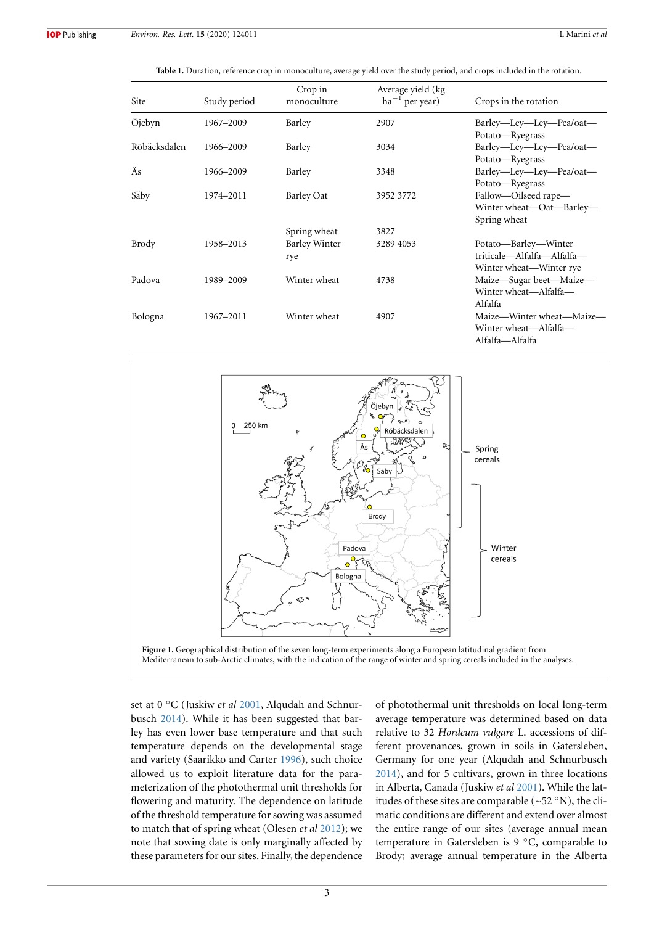**Table 1.** Duration, reference crop in monoculture, average yield over the study period, and crops included in the rotation.

<span id="page-3-1"></span>

| <b>Site</b>  | Study period | Crop in<br>monoculture      | Average yield (kg<br>$ha^{-1}$ per year) | Crops in the rotation                                                         |
|--------------|--------------|-----------------------------|------------------------------------------|-------------------------------------------------------------------------------|
| Öjebyn       | 1967-2009    | Barley                      | 2907                                     | Barley—Ley—Ley—Pea/oat—<br>Potato-Ryegrass                                    |
| Röbäcksdalen | 1966-2009    | Barley                      | 3034                                     | Barley—Ley—Ley—Pea/oat—<br>Potato-Ryegrass                                    |
| Ås           | 1966-2009    | Barley                      | 3348                                     | Barley-Ley-Ley-Pea/oat-<br>Potato-Ryegrass                                    |
| Säby         | 1974-2011    | Barley Oat                  | 3952 3772                                | Fallow-Oilseed rape-<br>Winter wheat-Oat-Barley-<br>Spring wheat              |
|              |              | Spring wheat                | 3827                                     |                                                                               |
| Brody        | 1958-2013    | <b>Barley Winter</b><br>rye | 3289 4053                                | Potato—Barley—Winter<br>triticale-Alfalfa-Alfalfa-<br>Winter wheat—Winter rye |
| Padova       | 1989-2009    | Winter wheat                | 4738                                     | Maize—Sugar beet—Maize—<br>Winter wheat-Alfalfa-<br>Alfalfa                   |
| Bologna      | 1967-2011    | Winter wheat                | 4907                                     | Maize—Winter wheat—Maize—<br>Winter wheat-Alfalfa-<br>Alfalfa—Alfalfa         |

<span id="page-3-0"></span>

set at 0 *◦*C (Juskiw *et al* [2001](#page-8-14), Alqudah and Schnurbusch [2014](#page-8-15)). While it has been suggested that barley has even lower base temperature and that such temperature depends on the developmental stage and variety (Saarikko and Carter [1996](#page-9-18)), such choice allowed us to exploit literature data for the parameterization of the photothermal unit thresholds for flowering and maturity. The dependence on latitude of the threshold temperature for sowing was assumed to match that of spring wheat (Olesen *et al* [2012\)](#page-9-17); we note that sowing date is only marginally affected by these parameters for our sites. Finally, the dependence of photothermal unit thresholds on local long-term average temperature was determined based on data relative to 32 *Hordeum vulgare* L. accessions of different provenances, grown in soils in Gatersleben, Germany for one year (Alqudah and Schnurbusch [2014](#page-8-15)), and for 5 cultivars, grown in three locations in Alberta, Canada (Juskiw *et al* [2001\)](#page-8-14). While the latitudes of these sites are comparable (~52 *◦*N), the climatic conditions are different and extend over almost the entire range of our sites (average annual mean temperature in Gatersleben is 9 *◦*C, comparable to Brody; average annual temperature in the Alberta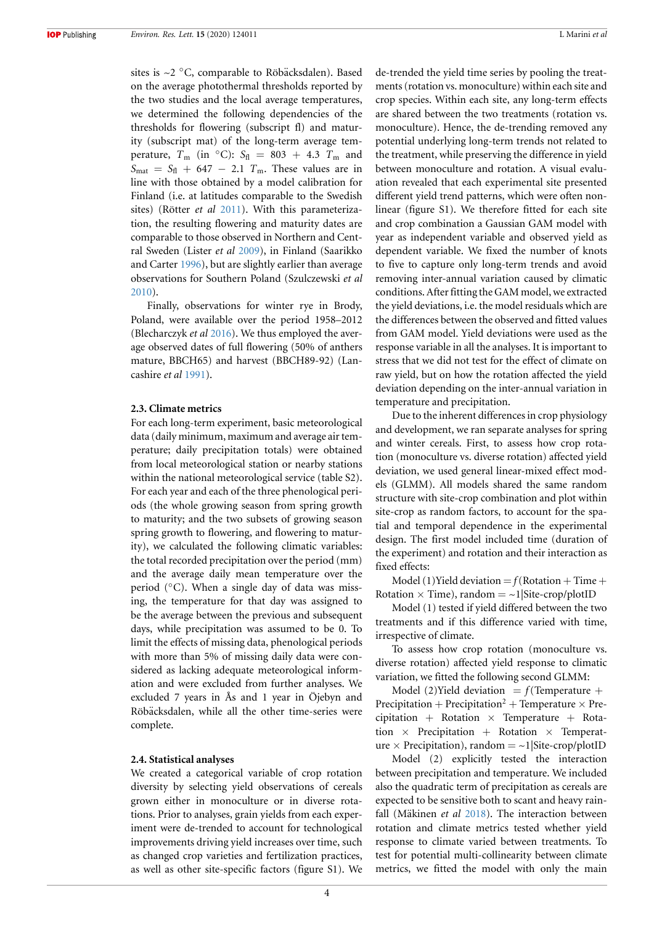sites is ~2 °C, comparable to Röbäcksdalen). Based on the average photothermal thresholds reported by the two studies and the local average temperatures, we determined the following dependencies of the thresholds for flowering (subscript fl) and maturity (subscript mat) of the long-term average temperature,  $T_m$  (in  $\textdegree C$ ):  $S_{\text{fl}} = 803 + 4.3$   $T_m$  and  $S_{\text{mat}} = S_{\text{fl}} + 647 - 2.1$  *T*<sub>m</sub>. These values are in line with those obtained by a model calibration for Finland (i.e. at latitudes comparable to the Swedish sites) (Rötter *et al* [2011\)](#page-9-19). With this parameterization, the resulting flowering and maturity dates are comparable to those observed in Northern and Central Sweden (Lister *et al* [2009](#page-9-20)), in Finland (Saarikko and Carter [1996](#page-9-18)), but are slightly earlier than average observations for Southern Poland (Szulczewski *et al* [2010](#page-9-21)).

Finally, observations for winter rye in Brody, Poland, were available over the period 1958–2012 (Blecharczyk *et al* [2016\)](#page-8-16). We thus employed the average observed dates of full flowering (50% of anthers mature, BBCH65) and harvest (BBCH89-92) (Lancashire *et al* [1991](#page-9-22)).

#### **2.3. Climate metrics**

For each long-term experiment, basic meteorological data (daily minimum, maximum and average air temperature; daily precipitation totals) were obtained from local meteorological station or nearby stations within the national meteorological service (table S2). For each year and each of the three phenological periods (the whole growing season from spring growth to maturity; and the two subsets of growing season spring growth to flowering, and flowering to maturity), we calculated the following climatic variables: the total recorded precipitation over the period (mm) and the average daily mean temperature over the period (*◦*C). When a single day of data was missing, the temperature for that day was assigned to be the average between the previous and subsequent days, while precipitation was assumed to be 0. To limit the effects of missing data, phenological periods with more than 5% of missing daily data were considered as lacking adequate meteorological information and were excluded from further analyses. We excluded 7 years in Ås and 1 year in Öjebyn and Röbäcksdalen, while all the other time-series were complete.

#### **2.4. Statistical analyses**

We created a categorical variable of crop rotation diversity by selecting yield observations of cereals grown either in monoculture or in diverse rotations. Prior to analyses, grain yields from each experiment were de-trended to account for technological improvements driving yield increases over time, such as changed crop varieties and fertilization practices, as well as other site-specific factors (figure S1). We de-trended the yield time series by pooling the treatments (rotation vs. monoculture) within each site and crop species. Within each site, any long-term effects are shared between the two treatments (rotation vs. monoculture). Hence, the de-trending removed any potential underlying long-term trends not related to the treatment, while preserving the difference in yield between monoculture and rotation. A visual evaluation revealed that each experimental site presented different yield trend patterns, which were often nonlinear (figure S1). We therefore fitted for each site and crop combination a Gaussian GAM model with year as independent variable and observed yield as dependent variable. We fixed the number of knots to five to capture only long-term trends and avoid removing inter-annual variation caused by climatic conditions. After fitting the GAM model, we extracted the yield deviations, i.e. the model residuals which are the differences between the observed and fitted values from GAM model. Yield deviations were used as the response variable in all the analyses. It is important to stress that we did not test for the effect of climate on raw yield, but on how the rotation affected the yield deviation depending on the inter-annual variation in temperature and precipitation.

Due to the inherent differences in crop physiology and development, we ran separate analyses for spring and winter cereals. First, to assess how crop rotation (monoculture vs. diverse rotation) affected yield deviation, we used general linear-mixed effect models (GLMM). All models shared the same random structure with site-crop combination and plot within site-crop as random factors, to account for the spatial and temporal dependence in the experimental design. The first model included time (duration of the experiment) and rotation and their interaction as fixed effects:

Model (1) Yield deviation  $=f(Rotation + Time +$ Rotation  $\times$  Time), random  $= \sim 1$ |Site-crop/plotID

Model (1) tested if yield differed between the two treatments and if this difference varied with time, irrespective of climate.

To assess how crop rotation (monoculture vs. diverse rotation) affected yield response to climatic variation, we fitted the following second GLMM:

Model (2)Yield deviation  $= f$ (Temperature + Precipitation + Precipitation<sup>2</sup> + Temperature  $\times$  Precipitation + Rotation *×* Temperature + Rotation *×* Precipitation + Rotation *×* Temperature  $\times$  Precipitation), random  $= \sim 1$ |Site-crop/plotID

Model (2) explicitly tested the interaction between precipitation and temperature. We included also the quadratic term of precipitation as cereals are expected to be sensitive both to scant and heavy rainfall (Mäkinen *et al* [2018\)](#page-9-23). The interaction between rotation and climate metrics tested whether yield response to climate varied between treatments. To test for potential multi-collinearity between climate metrics, we fitted the model with only the main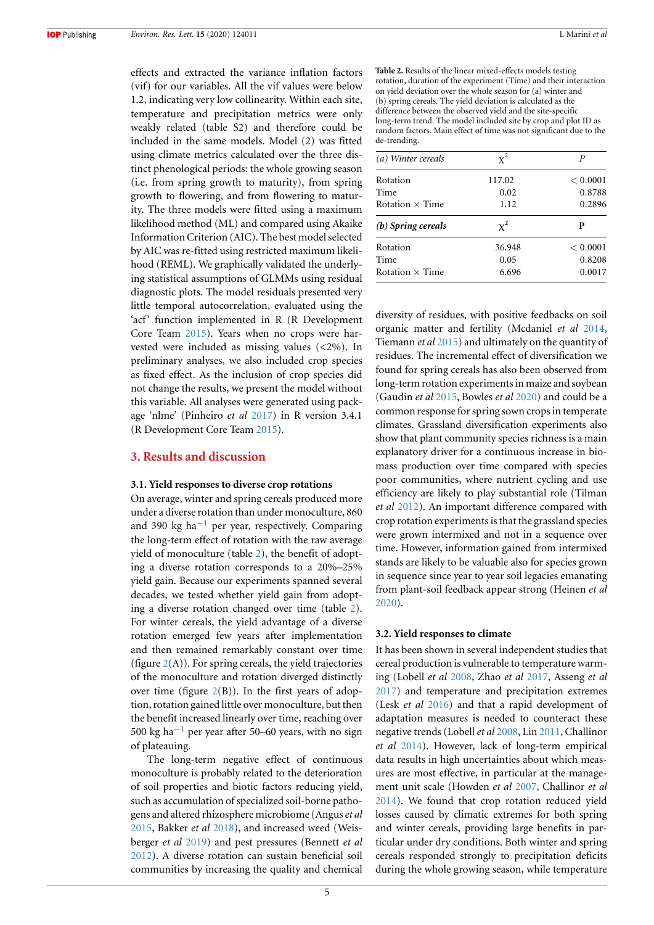effects and extracted the variance inflation factors (vif) for our variables. All the vif values were below 1.2, indicating very low collinearity. Within each site, temperature and precipitation metrics were only weakly related (table S2) and therefore could be included in the same models. Model (2) was fitted using climate metrics calculated over the three distinct phenological periods: the whole growing season (i.e. from spring growth to maturity), from spring growth to flowering, and from flowering to maturity. The three models were fitted using a maximum likelihood method (ML) and compared using Akaike Information Criterion (AIC). The best model selected by AIC was re-fitted using restricted maximum likelihood (REML). We graphically validated the underlying statistical assumptions of GLMMs using residual diagnostic plots. The model residuals presented very little temporal autocorrelation, evaluated using the 'acf' function implemented in R (R Development Core Team [2015\)](#page-9-24). Years when no crops were harvested were included as missing values (<2%). In preliminary analyses, we also included crop species as fixed effect. As the inclusion of crop species did not change the results, we present the model without this variable. All analyses were generated using package 'nlme' (Pinheiro *et al* [2017](#page-9-25)) in R version 3.4.1 (R Development Core Team [2015\)](#page-9-24).

## **3. Results and discussion**

### **3.1. Yield responses to diverse crop rotations**

On average, winter and spring cereals produced more under a diverse rotation than under monoculture, 860 and 390 kg ha*−*<sup>1</sup> per year, respectively. Comparing the long-term effect of rotation with the raw average yield of monoculture (table [2\)](#page-5-0), the benefit of adopting a diverse rotation corresponds to a 20%–25% yield gain. Because our experiments spanned several decades, we tested whether yield gain from adopting a diverse rotation changed over time (table [2\)](#page-5-0). For winter cereals, the yield advantage of a diverse rotation emerged few years after implementation and then remained remarkably constant over time (figure  $2(A)$  $2(A)$ ). For spring cereals, the yield trajectories of the monoculture and rotation diverged distinctly over time (figure  $2(B)$  $2(B)$ ). In the first years of adoption, rotation gained little over monoculture, but then the benefit increased linearly over time, reaching over 500 kg ha*−*<sup>1</sup> per year after 50–60 years, with no sign of plateauing.

The long-term negative effect of continuous monoculture is probably related to the deterioration of soil properties and biotic factors reducing yield, such as accumulation of specialized soil-borne pathogens and altered rhizosphere microbiome (Angus*et al* [2015](#page-8-12), Bakker *et al* [2018](#page-8-17)), and increased weed (Weisberger *et al* [2019](#page-9-26)) and pest pressures (Bennett *et al* [2012](#page-8-11)). A diverse rotation can sustain beneficial soil communities by increasing the quality and chemical <span id="page-5-0"></span>**Table 2.** Results of the linear mixed-effects models testing rotation, duration of the experiment (Time) and their interaction on yield deviation over the whole season for (a) winter and (b) spring cereals. The yield deviation is calculated as the difference between the observed yield and the site-specific long-term trend. The model included site by crop and plot ID as random factors. Main effect of time was not significant due to the de-trending.

| (a) Winter cereals     |        | P        |
|------------------------|--------|----------|
| Rotation               | 117.02 | < 0.0001 |
| Time                   | 0.02   | 0.8788   |
| Rotation $\times$ Time | 1.12   | 0.2896   |
|                        |        |          |
| (b) Spring cereals     | $x^2$  | Р        |
| Rotation               | 36.948 | < 0.0001 |
| Time                   | 0.05   | 0.8208   |

diversity of residues, with positive feedbacks on soil organic matter and fertility (Mcdaniel *et al* [2014](#page-9-11), Tiemann *et al* [2015](#page-9-12)) and ultimately on the quantity of residues. The incremental effect of diversification we found for spring cereals has also been observed from long-term rotation experiments in maize and soybean (Gaudin *et al* [2015,](#page-8-9) Bowles *et al* [2020\)](#page-8-10) and could be a common response for spring sown crops in temperate climates. Grassland diversification experiments also show that plant community species richness is a main explanatory driver for a continuous increase in biomass production over time compared with species poor communities, where nutrient cycling and use efficiency are likely to play substantial role (Tilman *et al* [2012](#page-9-27)). An important difference compared with crop rotation experiments is that the grassland species were grown intermixed and not in a sequence over time. However, information gained from intermixed stands are likely to be valuable also for species grown in sequence since year to year soil legacies emanating from plant-soil feedback appear strong (Heinen *et al* [2020](#page-8-18)).

#### **3.2. Yield responses to climate**

It has been shown in several independent studies that cereal production is vulnerable to temperature warming (Lobell *et al* [2008](#page-9-8), Zhao *et al* [2017,](#page-9-5) Asseng *et al* [2017](#page-8-1)) and temperature and precipitation extremes (Lesk *et al* [2016\)](#page-9-28) and that a rapid development of adaptation measures is needed to counteract these negative trends (Lobell*et al* [2008](#page-9-8), Lin [2011](#page-9-29), Challinor *et al* [2014](#page-8-19)). However, lack of long-term empirical data results in high uncertainties about which measures are most effective, in particular at the management unit scale (Howden *et al* [2007](#page-8-13), Challinor *et al* [2014](#page-8-19)). We found that crop rotation reduced yield losses caused by climatic extremes for both spring and winter cereals, providing large benefits in particular under dry conditions. Both winter and spring cereals responded strongly to precipitation deficits during the whole growing season, while temperature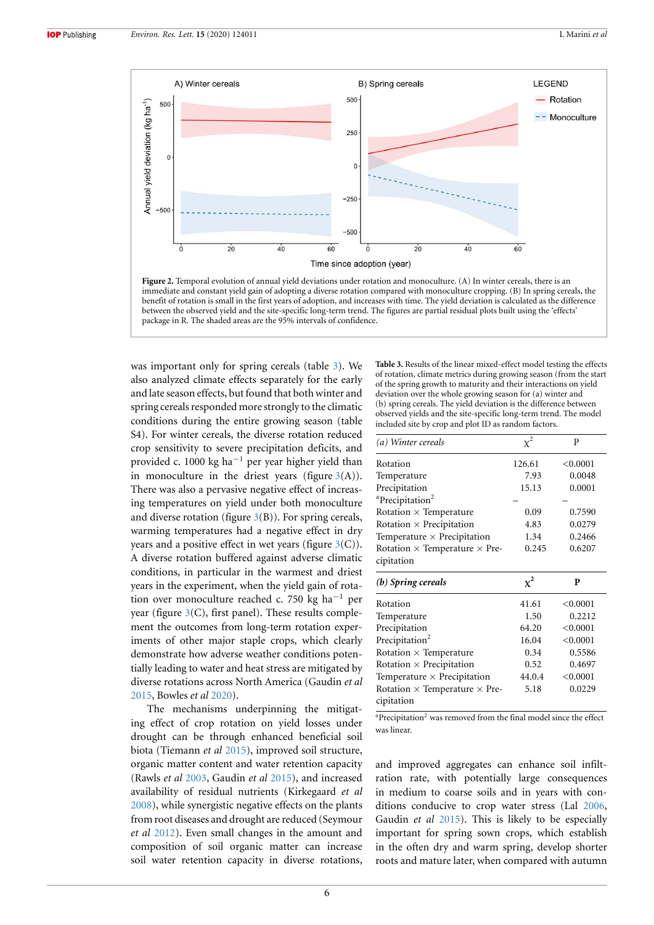<span id="page-6-0"></span>

**Figure 2.** Temporal evolution of annual yield deviations under rotation and monoculture. (A) In winter cereals, there is an immediate and constant yield gain of adopting a diverse rotation compared with monoculture cropping. (B) In spring cereals, the benefit of rotation is small in the first years of adoption, and increases with time. The yield deviation is calculated as the difference between the observed yield and the site-specific long-term trend. The figures are partial residual plots built using the 'effects' package in R. The shaded areas are the 95% intervals of confidence.

was important only for spring cereals (table [3\)](#page-6-1). We also analyzed climate effects separately for the early and late season effects, but found that both winter and spring cereals responded more strongly to the climatic conditions during the entire growing season (table S4). For winter cereals, the diverse rotation reduced crop sensitivity to severe precipitation deficits, and provided c. 1000 kg ha*−*<sup>1</sup> per year higher yield than in monoculture in the driest years (figure  $3(A)$  $3(A)$ ). There was also a pervasive negative effect of increasing temperatures on yield under both monoculture and diverse rotation (figure  $3(B)$  $3(B)$ ). For spring cereals, warming temperatures had a negative effect in dry years and a positive effect in wet years (figure  $3(C)$  $3(C)$ ). A diverse rotation buffered against adverse climatic conditions, in particular in the warmest and driest years in the experiment, when the yield gain of rotation over monoculture reached c. 750 kg ha*−*<sup>1</sup> per year (figure  $3(C)$  $3(C)$ , first panel). These results complement the outcomes from long-term rotation experiments of other major staple crops, which clearly demonstrate how adverse weather conditions potentially leading to water and heat stress are mitigated by diverse rotations across North America (Gaudin *et al* [2015](#page-8-9), Bowles *et al* [2020](#page-8-10)).

The mechanisms underpinning the mitigating effect of crop rotation on yield losses under drought can be through enhanced beneficial soil biota (Tiemann *et al* [2015](#page-9-12)), improved soil structure, organic matter content and water retention capacity (Rawls *et al* [2003](#page-9-30), Gaudin *et al* [2015\)](#page-8-9), and increased availability of residual nutrients (Kirkegaard *et al* [2008](#page-8-20)), while synergistic negative effects on the plants from root diseases and drought are reduced (Seymour *et al* [2012\)](#page-9-13). Even small changes in the amount and composition of soil organic matter can increase soil water retention capacity in diverse rotations,

<span id="page-6-1"></span>**Table 3.** Results of the linear mixed-effect model testing the effects of rotation, climate metrics during growing season (from the start of the spring growth to maturity and their interactions on yield deviation over the whole growing season for (a) winter and (b) spring cereals. The yield deviation is the difference between observed yields and the site-specific long-term trend. The model included site by crop and plot ID as random factors.

| (a) Winter cereals                                        |                | P        |
|-----------------------------------------------------------|----------------|----------|
| Rotation                                                  | 126.61         | < 0.0001 |
| Temperature                                               | 7.93           | 0.0048   |
| Precipitation                                             | 15.13          | 0.0001   |
| <sup>a</sup> Precipitation <sup>2</sup>                   |                |          |
| Rotation $\times$ Temperature                             | 0.09           | 0.7590   |
| Rotation $\times$ Precipitation                           | 4.83           | 0.0279   |
| Temperature $\times$ Precipitation                        | 1.34           | 0.2466   |
| Rotation $\times$ Temperature $\times$ Pre-<br>cipitation | 0.245          | 0.6207   |
| $(b)$ Spring cereals                                      | $\mathbf{v}^2$ | P        |
| Rotation                                                  | 41.61          | < 0.0001 |
| Temperature                                               | 1.50           | 0.2212   |
|                                                           |                |          |

| Temperature                                 | 1.50   | 0.2212   |
|---------------------------------------------|--------|----------|
| Precipitation                               | 64.20  | < 0.0001 |
| Precipitation <sup>2</sup>                  | 16.04  | < 0.0001 |
| Rotation $\times$ Temperature               | 0.34   | 0.5586   |
| Rotation $\times$ Precipitation             | 0.52   | 0.4697   |
| Temperature $\times$ Precipitation          | 44.0.4 | < 0.0001 |
| Rotation $\times$ Temperature $\times$ Pre- | 5.18   | 0.0229   |
| cipitation                                  |        |          |

<sup>a</sup>Precipitation<sup>2</sup> was removed from the final model since the effect was linear.

and improved aggregates can enhance soil infiltration rate, with potentially large consequences in medium to coarse soils and in years with conditions conducive to crop water stress (Lal [2006](#page-9-31), Gaudin *et al* [2015](#page-8-9)). This is likely to be especially important for spring sown crops, which establish in the often dry and warm spring, develop shorter roots and mature later, when compared with autumn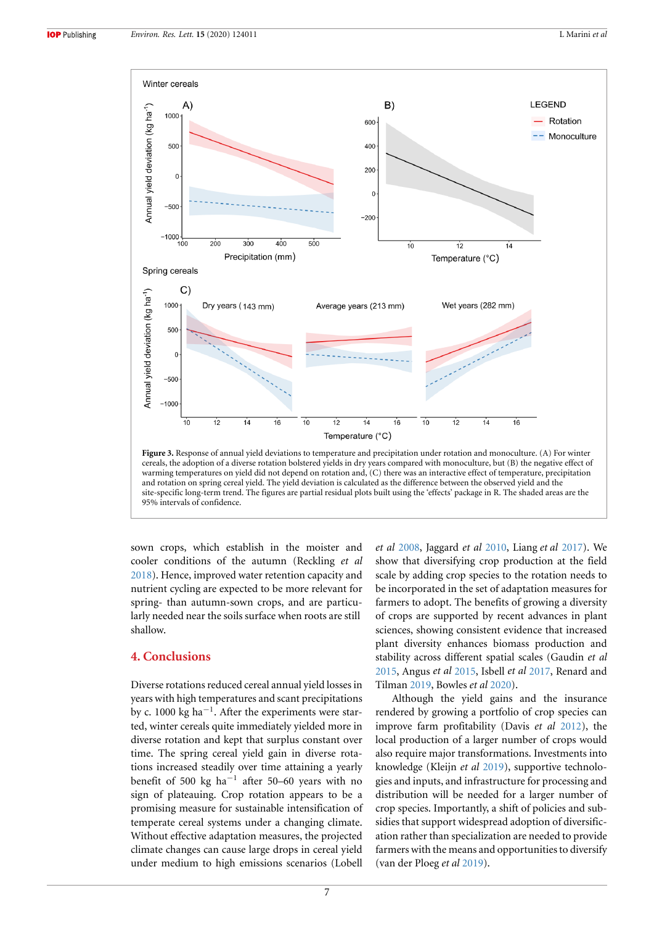<span id="page-7-0"></span>

sown crops, which establish in the moister and cooler conditions of the autumn (Reckling *et al* [2018](#page-9-32)). Hence, improved water retention capacity and nutrient cycling are expected to be more relevant for spring- than autumn-sown crops, and are particularly needed near the soils surface when roots are still shallow.

## **4. Conclusions**

Diverse rotations reduced cereal annual yield losses in years with high temperatures and scant precipitations by c. 1000 kg ha*−*<sup>1</sup> . After the experiments were started, winter cereals quite immediately yielded more in diverse rotation and kept that surplus constant over time. The spring cereal yield gain in diverse rotations increased steadily over time attaining a yearly benefit of 500 kg ha*−*<sup>1</sup> after 50–60 years with no sign of plateauing. Crop rotation appears to be a promising measure for sustainable intensification of temperate cereal systems under a changing climate. Without effective adaptation measures, the projected climate changes can cause large drops in cereal yield under medium to high emissions scenarios (Lobell

*et al* [2008](#page-9-8), Jaggard *et al* [2010](#page-8-0), Liang *et al* [2017\)](#page-9-33). We show that diversifying crop production at the field scale by adding crop species to the rotation needs to be incorporated in the set of adaptation measures for farmers to adopt. The benefits of growing a diversity of crops are supported by recent advances in plant sciences, showing consistent evidence that increased plant diversity enhances biomass production and stability across different spatial scales (Gaudin *et al* [2015](#page-8-9), Angus *et al* [2015](#page-8-12), Isbell *et al* [2017](#page-8-21), Renard and Tilman [2019](#page-9-16), Bowles *et al* [2020\)](#page-8-10).

Although the yield gains and the insurance rendered by growing a portfolio of crop species can improve farm profitability (Davis *et al* [2012](#page-8-22)), the local production of a larger number of crops would also require major transformations. Investments into knowledge (Kleijn *et al* [2019\)](#page-8-23), supportive technologies and inputs, and infrastructure for processing and distribution will be needed for a larger number of crop species. Importantly, a shift of policies and subsidies that support widespread adoption of diversification rather than specialization are needed to provide farmers with the means and opportunities to diversify (van der Ploeg *et al* [2019](#page-9-34)).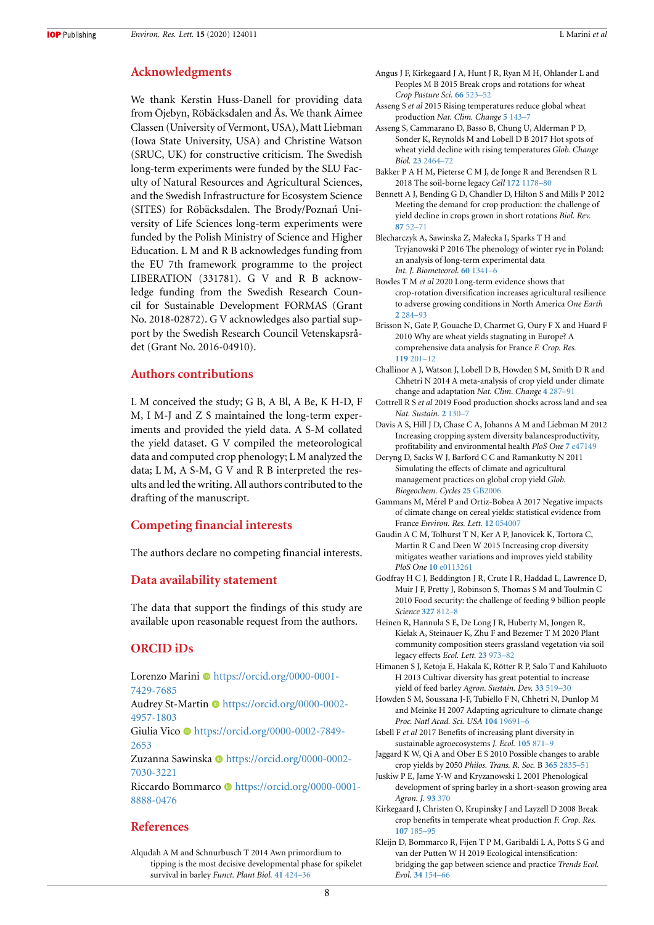## **Acknowledgments**

We thank Kerstin Huss-Danell for providing data from Öjebyn, Röbäcksdalen and Ås. We thank Aimee Classen (University of Vermont, USA), Matt Liebman (Iowa State University, USA) and Christine Watson (SRUC, UK) for constructive criticism. The Swedish long-term experiments were funded by the SLU Faculty of Natural Resources and Agricultural Sciences, and the Swedish Infrastructure for Ecosystem Science (SITES) for Röbäcksdalen. The Brody/Poznań University of Life Sciences long-term experiments were funded by the Polish Ministry of Science and Higher Education. L M and R B acknowledges funding from the EU 7th framework programme to the project LIBERATION (331781). G V and R B acknowledge funding from the Swedish Research Council for Sustainable Development FORMAS (Grant No. 2018-02872). G V acknowledges also partial support by the Swedish Research Council Vetenskapsrådet (Grant No. 2016-04910).

## **Authors contributions**

L M conceived the study; G B, A Bl, A Be, K H-D, F M, I M-J and Z S maintained the long-term experiments and provided the yield data. A S-M collated the yield dataset. G V compiled the meteorological data and computed crop phenology; L M analyzed the data; L M, A S-M, G V and R B interpreted the results and led the writing. All authors contributed to the drafting of the manuscript.

## **Competing financial interests**

The authors declare no competing financial interests.

## **Data availability statement**

The data that support the findings of this study are available upon reasonable request from the authors.

## **ORCID iDs**

Lorenzo Marini · [https://orcid.org/0000-0001-](https://orcid.org/0000-0001-7429-7685) [7429-7685](https://orcid.org/0000-0001-7429-7685)

Audrey St-Martin  $\bullet$  [https://orcid.org/0000-0002-](https://orcid.org/0000-0002-4957-1803) [4957-1803](https://orcid.org/0000-0002-4957-1803)

Giulia Vico · [https://orcid.org/0000-0002-7849-](https://orcid.org/0000-0002-7849-2653) [2653](https://orcid.org/0000-0002-7849-2653)

Zuzanna Sawinska · [https://orcid.org/0000-0002-](https://orcid.org/0000-0002-7030-3221) [7030-3221](https://orcid.org/0000-0002-7030-3221)

Riccardo Bommarco · [https://orcid.org/0000-0001-](https://orcid.org/0000-0001-8888-0476) [8888-0476](https://orcid.org/0000-0001-8888-0476)

## **References**

<span id="page-8-15"></span>Alqudah A M and Schnurbusch T 2014 Awn primordium to tipping is the most decisive developmental phase for spikelet survival in barley *Funct. Plant Biol.* **[41](https://doi.org/10.1071/FP13248)** [424–36](https://doi.org/10.1071/FP13248)

- <span id="page-8-12"></span>Angus J F, Kirkegaard J A, Hunt J R, Ryan M H, Ohlander L and Peoples M B 2015 Break crops and rotations for wheat *Crop Pasture Sci.* **[66](https://doi.org/10.1071/CP14252)** [523–52](https://doi.org/10.1071/CP14252)
- <span id="page-8-5"></span>Asseng S *et al* 2015 Rising temperatures reduce global wheat production *Nat. Clim. Change* **[5](https://doi.org/10.1038/nclimate2470)** [143–7](https://doi.org/10.1038/nclimate2470)
- <span id="page-8-1"></span>Asseng S, Cammarano D, Basso B, Chung U, Alderman P D, Sonder K, Reynolds M and Lobell D B 2017 Hot spots of wheat yield decline with rising temperatures *Glob. Change Biol.* **[23](https://doi.org/10.1111/gcb.13530)** [2464–72](https://doi.org/10.1111/gcb.13530)
- <span id="page-8-17"></span>Bakker P A H M, Pieterse C M J, de Jonge R and Berendsen R L 2018 The soil-borne legacy *Cell* **[172](https://doi.org/10.1016/j.cell.2018.02.024)** [1178–80](https://doi.org/10.1016/j.cell.2018.02.024)
- <span id="page-8-11"></span>Bennett A J, Bending G D, Chandler D, Hilton S and Mills P 2012 Meeting the demand for crop production: the challenge of yield decline in crops grown in short rotations *Biol. Rev.* **[87](https://doi.org/10.1111/j.1469-185X.2011.00184.x)** [52–71](https://doi.org/10.1111/j.1469-185X.2011.00184.x)
- <span id="page-8-16"></span>Blecharczyk A, Sawinska Z, Małecka I, Sparks T H and Tryjanowski P 2016 The phenology of winter rye in Poland: an analysis of long-term experimental data *Int. J. Biometeorol.* **[60](https://doi.org/10.1007/s00484-015-1127-2)** [1341–6](https://doi.org/10.1007/s00484-015-1127-2)
- <span id="page-8-10"></span>Bowles T M *et al* 2020 Long-term evidence shows that crop-rotation diversification increases agricultural resilience to adverse growing conditions in North America *One Earth* **[2](https://doi.org/10.1016/j.oneear.2020.02.007)** [284–93](https://doi.org/10.1016/j.oneear.2020.02.007)
- <span id="page-8-4"></span>Brisson N, Gate P, Gouache D, Charmet G, Oury F X and Huard F 2010 Why are wheat yields stagnating in Europe? A comprehensive data analysis for France *F. Crop. Res.* **[119](https://doi.org/10.1016/j.fcr.2010.07.012)** [201–12](https://doi.org/10.1016/j.fcr.2010.07.012)
- <span id="page-8-19"></span>Challinor A J, Watson J, Lobell D B, Howden S M, Smith D R and Chhetri N 2014 A meta-analysis of crop yield under climate change and adaptation *Nat. Clim. Change* **[4](https://doi.org/10.1038/nclimate2153)** [287–91](https://doi.org/10.1038/nclimate2153)
- <span id="page-8-3"></span>Cottrell R S *et al* 2019 Food production shocks across land and sea *Nat. Sustain.* **[2](https://doi.org/10.1038/s41893-018-0210-1)** [130–7](https://doi.org/10.1038/s41893-018-0210-1)
- <span id="page-8-22"></span>Davis A S, Hill J D, Chase C A, Johanns A M and Liebman M 2012 Increasing cropping system diversity balancesproductivity, profitability and environmental health *PloS One* **[7](https://doi.org/10.1371/journal.pone.0047149)** [e47149](https://doi.org/10.1371/journal.pone.0047149)
- <span id="page-8-7"></span>Deryng D, Sacks W J, Barford C C and Ramankutty N 2011 Simulating the effects of climate and agricultural management practices on global crop yield *Glob. Biogeochem. Cycles* **[25](https://doi.org/10.1029/2009GB003765)** [GB2006](https://doi.org/10.1029/2009GB003765)
- <span id="page-8-2"></span>Gammans M, Mérel P and Ortiz-Bobea A 2017 Negative impacts of climate change on cereal yields: statistical evidence from France *Environ. Res. Lett.* **[12](https://doi.org/10.1088/1748-9326/aa6b0c)** [054007](https://doi.org/10.1088/1748-9326/aa6b0c)
- <span id="page-8-9"></span>Gaudin A C M, Tolhurst T N, Ker A P, Janovicek K, Tortora C, Martin R C and Deen W 2015 Increasing crop diversity mitigates weather variations and improves yield stability *PloS One* **[10](https://doi.org/10.1371/journal.pone.0113261)** [e0113261](https://doi.org/10.1371/journal.pone.0113261)
- <span id="page-8-6"></span>Godfray H C J, Beddington J R, Crute I R, Haddad L, Lawrence D, Muir J F, Pretty J, Robinson S, Thomas S M and Toulmin C 2010 Food security: the challenge of feeding 9 billion people *Science* **[327](https://doi.org/10.1126/science.1185383)** [812–8](https://doi.org/10.1126/science.1185383)
- <span id="page-8-18"></span>Heinen R, Hannula S E, De Long J R, Huberty M, Jongen R, Kielak A, Steinauer K, Zhu F and Bezemer T M 2020 Plant community composition steers grassland vegetation via soil legacy effects *Ecol. Lett.* **[23](https://doi.org/10.1111/ele.13497)** [973–82](https://doi.org/10.1111/ele.13497)
- <span id="page-8-8"></span>Himanen S J, Ketoja E, Hakala K, Rötter R P, Salo T and Kahiluoto H 2013 Cultivar diversity has great potential to increase yield of feed barley *Agron. Sustain. Dev.* **[33](https://doi.org/10.1007/s13593-012-0120-y)** [519–30](https://doi.org/10.1007/s13593-012-0120-y)
- <span id="page-8-13"></span>Howden S M, Soussana J-F, Tubiello F N, Chhetri N, Dunlop M and Meinke H 2007 Adapting agriculture to climate change *Proc. Natl Acad. Sci. USA* **[104](https://doi.org/10.1073/pnas.0701890104)** [19691–6](https://doi.org/10.1073/pnas.0701890104)
- <span id="page-8-21"></span>Isbell F *et al* 2017 Benefits of increasing plant diversity in sustainable agroecosystems *J. Ecol.* **[105](https://doi.org/10.1111/1365-2745.12789)** [871–9](https://doi.org/10.1111/1365-2745.12789)
- <span id="page-8-0"></span>Jaggard K W, Qi A and Ober E S 2010 Possible changes to arable crop yields by 2050 *Philos. Trans. R. Soc.* B **[365](https://doi.org/10.1098/rstb.2010.0153)** [2835–51](https://doi.org/10.1098/rstb.2010.0153)
- <span id="page-8-14"></span>Juskiw P E, Jame Y-W and Kryzanowski L 2001 Phenological development of spring barley in a short-season growing area *Agron. J.* **[93](https://doi.org/10.2134/agronj2001.932370x)** [370](https://doi.org/10.2134/agronj2001.932370x)
- <span id="page-8-20"></span>Kirkegaard J, Christen O, Krupinsky J and Layzell D 2008 Break crop benefits in temperate wheat production *F. Crop. Res.* **[107](https://doi.org/10.1016/j.fcr.2008.02.010)** [185–95](https://doi.org/10.1016/j.fcr.2008.02.010)
- <span id="page-8-23"></span>Kleijn D, Bommarco R, Fijen T P M, Garibaldi L A, Potts S G and van der Putten W H 2019 Ecological intensification: bridging the gap between science and practice *Trends Ecol. Evol.* **[34](https://doi.org/10.1016/j.tree.2018.11.002)** [154–66](https://doi.org/10.1016/j.tree.2018.11.002)